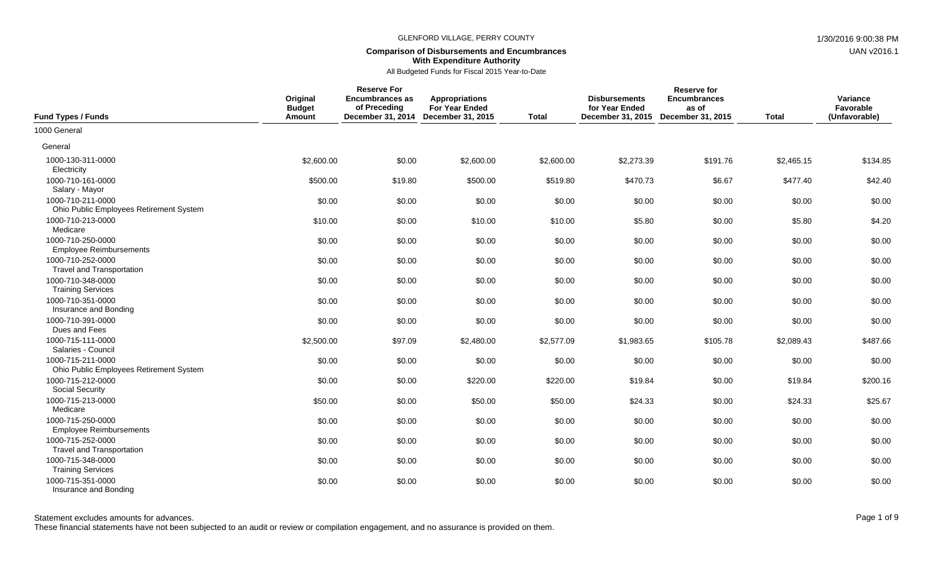## **Comparison of Disbursements and Encumbrances With Expenditure Authority**

All Budgeted Funds for Fiscal 2015 Year-to-Date

| <b>Fund Types / Funds</b>                                    | Original<br><b>Budget</b><br>Amount | <b>Reserve For</b><br><b>Encumbrances as</b><br>of Preceding<br>December 31, 2014 December 31, 2015 | <b>Appropriations</b><br><b>For Year Ended</b> | <b>Total</b> | <b>Disbursements</b><br>for Year Ended<br>December 31, 2015 | <b>Reserve for</b><br><b>Encumbrances</b><br>as of<br>December 31, 2015 | <b>Total</b> | Variance<br>Favorable<br>(Unfavorable) |
|--------------------------------------------------------------|-------------------------------------|-----------------------------------------------------------------------------------------------------|------------------------------------------------|--------------|-------------------------------------------------------------|-------------------------------------------------------------------------|--------------|----------------------------------------|
| 1000 General                                                 |                                     |                                                                                                     |                                                |              |                                                             |                                                                         |              |                                        |
| General                                                      |                                     |                                                                                                     |                                                |              |                                                             |                                                                         |              |                                        |
| 1000-130-311-0000<br>Electricity                             | \$2,600.00                          | \$0.00                                                                                              | \$2,600.00                                     | \$2,600.00   | \$2,273.39                                                  | \$191.76                                                                | \$2,465.15   | \$134.85                               |
| 1000-710-161-0000<br>Salary - Mayor                          | \$500.00                            | \$19.80                                                                                             | \$500.00                                       | \$519.80     | \$470.73                                                    | \$6.67                                                                  | \$477.40     | \$42.40                                |
| 1000-710-211-0000<br>Ohio Public Employees Retirement System | \$0.00                              | \$0.00                                                                                              | \$0.00                                         | \$0.00       | \$0.00                                                      | \$0.00                                                                  | \$0.00       | \$0.00                                 |
| 1000-710-213-0000<br>Medicare                                | \$10.00                             | \$0.00                                                                                              | \$10.00                                        | \$10.00      | \$5.80                                                      | \$0.00                                                                  | \$5.80       | \$4.20                                 |
| 1000-710-250-0000<br><b>Employee Reimbursements</b>          | \$0.00                              | \$0.00                                                                                              | \$0.00                                         | \$0.00       | \$0.00                                                      | \$0.00                                                                  | \$0.00       | \$0.00                                 |
| 1000-710-252-0000<br><b>Travel and Transportation</b>        | \$0.00                              | \$0.00                                                                                              | \$0.00                                         | \$0.00       | \$0.00                                                      | \$0.00                                                                  | \$0.00       | \$0.00                                 |
| 1000-710-348-0000<br><b>Training Services</b>                | \$0.00                              | \$0.00                                                                                              | \$0.00                                         | \$0.00       | \$0.00                                                      | \$0.00                                                                  | \$0.00       | \$0.00                                 |
| 1000-710-351-0000<br>Insurance and Bonding                   | \$0.00                              | \$0.00                                                                                              | \$0.00                                         | \$0.00       | \$0.00                                                      | \$0.00                                                                  | \$0.00       | \$0.00                                 |
| 1000-710-391-0000<br>Dues and Fees                           | \$0.00                              | \$0.00                                                                                              | \$0.00                                         | \$0.00       | \$0.00                                                      | \$0.00                                                                  | \$0.00       | \$0.00                                 |
| 1000-715-111-0000<br>Salaries - Council                      | \$2,500.00                          | \$97.09                                                                                             | \$2,480.00                                     | \$2,577.09   | \$1,983.65                                                  | \$105.78                                                                | \$2,089.43   | \$487.66                               |
| 1000-715-211-0000<br>Ohio Public Employees Retirement System | \$0.00                              | \$0.00                                                                                              | \$0.00                                         | \$0.00       | \$0.00                                                      | \$0.00                                                                  | \$0.00       | \$0.00                                 |
| 1000-715-212-0000<br><b>Social Security</b>                  | \$0.00                              | \$0.00                                                                                              | \$220.00                                       | \$220.00     | \$19.84                                                     | \$0.00                                                                  | \$19.84      | \$200.16                               |
| 1000-715-213-0000<br>Medicare                                | \$50.00                             | \$0.00                                                                                              | \$50.00                                        | \$50.00      | \$24.33                                                     | \$0.00                                                                  | \$24.33      | \$25.67                                |
| 1000-715-250-0000<br><b>Employee Reimbursements</b>          | \$0.00                              | \$0.00                                                                                              | \$0.00                                         | \$0.00       | \$0.00                                                      | \$0.00                                                                  | \$0.00       | \$0.00                                 |
| 1000-715-252-0000<br><b>Travel and Transportation</b>        | \$0.00                              | \$0.00                                                                                              | \$0.00                                         | \$0.00       | \$0.00                                                      | \$0.00                                                                  | \$0.00       | \$0.00                                 |
| 1000-715-348-0000<br><b>Training Services</b>                | \$0.00                              | \$0.00                                                                                              | \$0.00                                         | \$0.00       | \$0.00                                                      | \$0.00                                                                  | \$0.00       | \$0.00                                 |
| 1000-715-351-0000<br>Insurance and Bonding                   | \$0.00                              | \$0.00                                                                                              | \$0.00                                         | \$0.00       | \$0.00                                                      | \$0.00                                                                  | \$0.00       | \$0.00                                 |

These financial statements have not been subjected to an audit or review or compilation engagement, and no assurance is provided on them.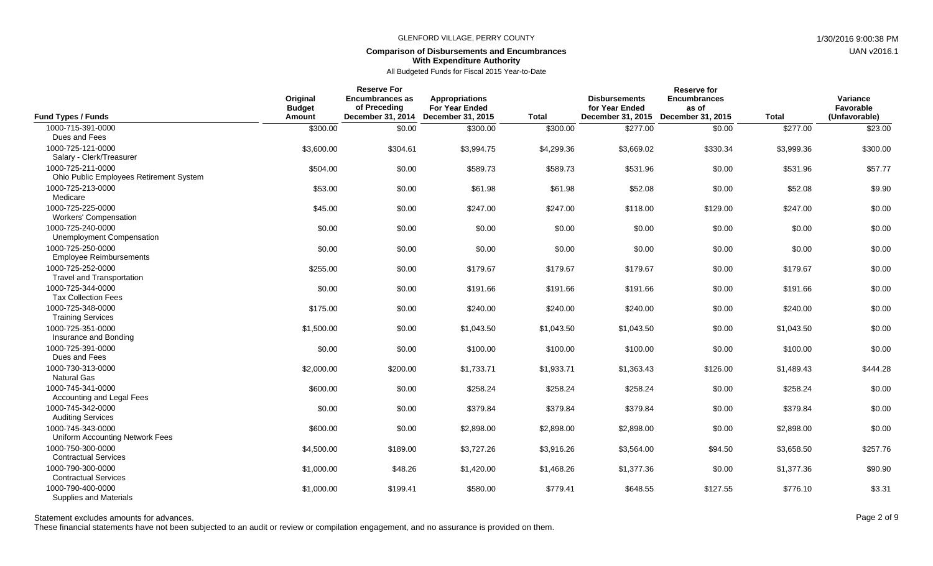## **Comparison of Disbursements and Encumbrances With Expenditure Authority**

## All Budgeted Funds for Fiscal 2015 Year-to-Date

| <b>Fund Types / Funds</b>                                    | Original<br><b>Budget</b><br>Amount | <b>Reserve For</b><br><b>Encumbrances as</b><br>of Preceding<br>December 31, 2014 | <b>Appropriations</b><br><b>For Year Ended</b><br>December 31, 2015 | <b>Total</b> | <b>Disbursements</b><br>for Year Ended<br>December 31, 2015 | <b>Reserve for</b><br><b>Encumbrances</b><br>as of<br>December 31, 2015 | <b>Total</b> | Variance<br>Favorable<br>(Unfavorable) |
|--------------------------------------------------------------|-------------------------------------|-----------------------------------------------------------------------------------|---------------------------------------------------------------------|--------------|-------------------------------------------------------------|-------------------------------------------------------------------------|--------------|----------------------------------------|
| 1000-715-391-0000<br>Dues and Fees                           | \$300.00                            | \$0.00                                                                            | \$300.00                                                            | \$300.00     | \$277.00                                                    | \$0.00                                                                  | \$277.00     | \$23.00                                |
| 1000-725-121-0000<br>Salary - Clerk/Treasurer                | \$3,600.00                          | \$304.61                                                                          | \$3,994.75                                                          | \$4,299.36   | \$3,669.02                                                  | \$330.34                                                                | \$3,999.36   | \$300.00                               |
| 1000-725-211-0000<br>Ohio Public Employees Retirement System | \$504.00                            | \$0.00                                                                            | \$589.73                                                            | \$589.73     | \$531.96                                                    | \$0.00                                                                  | \$531.96     | \$57.77                                |
| 1000-725-213-0000<br>Medicare                                | \$53.00                             | \$0.00                                                                            | \$61.98                                                             | \$61.98      | \$52.08                                                     | \$0.00                                                                  | \$52.08      | \$9.90                                 |
| 1000-725-225-0000<br><b>Workers' Compensation</b>            | \$45.00                             | \$0.00                                                                            | \$247.00                                                            | \$247.00     | \$118.00                                                    | \$129.00                                                                | \$247.00     | \$0.00                                 |
| 1000-725-240-0000<br>Unemployment Compensation               | \$0.00                              | \$0.00                                                                            | \$0.00                                                              | \$0.00       | \$0.00                                                      | \$0.00                                                                  | \$0.00       | \$0.00                                 |
| 1000-725-250-0000<br><b>Employee Reimbursements</b>          | \$0.00                              | \$0.00                                                                            | \$0.00                                                              | \$0.00       | \$0.00                                                      | \$0.00                                                                  | \$0.00       | \$0.00                                 |
| 1000-725-252-0000<br><b>Travel and Transportation</b>        | \$255.00                            | \$0.00                                                                            | \$179.67                                                            | \$179.67     | \$179.67                                                    | \$0.00                                                                  | \$179.67     | \$0.00                                 |
| 1000-725-344-0000<br><b>Tax Collection Fees</b>              | \$0.00                              | \$0.00                                                                            | \$191.66                                                            | \$191.66     | \$191.66                                                    | \$0.00                                                                  | \$191.66     | \$0.00                                 |
| 1000-725-348-0000<br><b>Training Services</b>                | \$175.00                            | \$0.00                                                                            | \$240.00                                                            | \$240.00     | \$240.00                                                    | \$0.00                                                                  | \$240.00     | \$0.00                                 |
| 1000-725-351-0000<br>Insurance and Bonding                   | \$1,500.00                          | \$0.00                                                                            | \$1,043.50                                                          | \$1,043.50   | \$1,043.50                                                  | \$0.00                                                                  | \$1,043.50   | \$0.00                                 |
| 1000-725-391-0000<br>Dues and Fees                           | \$0.00                              | \$0.00                                                                            | \$100.00                                                            | \$100.00     | \$100.00                                                    | \$0.00                                                                  | \$100.00     | \$0.00                                 |
| 1000-730-313-0000<br><b>Natural Gas</b>                      | \$2,000.00                          | \$200.00                                                                          | \$1,733.71                                                          | \$1,933.71   | \$1,363.43                                                  | \$126.00                                                                | \$1,489.43   | \$444.28                               |
| 1000-745-341-0000<br>Accounting and Legal Fees               | \$600.00                            | \$0.00                                                                            | \$258.24                                                            | \$258.24     | \$258.24                                                    | \$0.00                                                                  | \$258.24     | \$0.00                                 |
| 1000-745-342-0000<br><b>Auditing Services</b>                | \$0.00                              | \$0.00                                                                            | \$379.84                                                            | \$379.84     | \$379.84                                                    | \$0.00                                                                  | \$379.84     | \$0.00                                 |
| 1000-745-343-0000<br>Uniform Accounting Network Fees         | \$600.00                            | \$0.00                                                                            | \$2,898.00                                                          | \$2,898.00   | \$2,898.00                                                  | \$0.00                                                                  | \$2,898.00   | \$0.00                                 |
| 1000-750-300-0000<br><b>Contractual Services</b>             | \$4,500.00                          | \$189.00                                                                          | \$3,727.26                                                          | \$3,916.26   | \$3,564.00                                                  | \$94.50                                                                 | \$3,658.50   | \$257.76                               |
| 1000-790-300-0000<br><b>Contractual Services</b>             | \$1,000.00                          | \$48.26                                                                           | \$1,420.00                                                          | \$1,468.26   | \$1,377.36                                                  | \$0.00                                                                  | \$1,377.36   | \$90.90                                |
| 1000-790-400-0000<br><b>Supplies and Materials</b>           | \$1,000.00                          | \$199.41                                                                          | \$580.00                                                            | \$779.41     | \$648.55                                                    | \$127.55                                                                | \$776.10     | \$3.31                                 |

Statement excludes amounts for advances. The state of 9 and 2 of 9

These financial statements have not been subjected to an audit or review or compilation engagement, and no assurance is provided on them.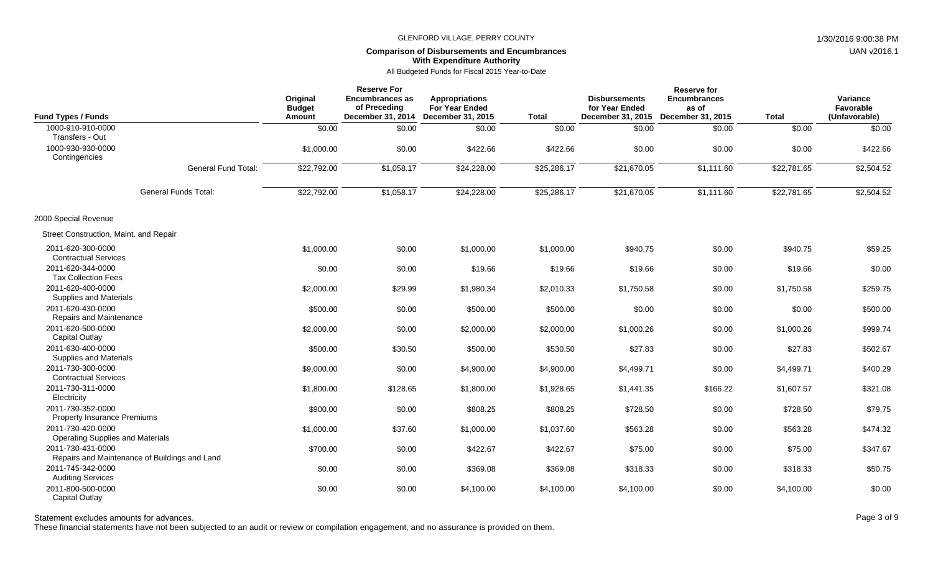# **Comparison of Disbursements and Encumbrances With Expenditure Authority**

All Budgeted Funds for Fiscal 2015 Year-to-Date

| <b>Fund Types / Funds</b>                                    |                                               | Original<br><b>Budget</b><br>Amount | <b>Reserve For</b><br><b>Encumbrances as</b><br>of Preceding<br>December 31, 2014 | <b>Appropriations</b><br>For Year Ended<br><b>December 31, 2015</b> | <b>Total</b> | <b>Disbursements</b><br>for Year Ended<br>December 31, 2015 | <b>Reserve for</b><br><b>Encumbrances</b><br>as of<br>December 31, 2015 | <b>Total</b> | Variance<br>Favorable<br>(Unfavorable) |
|--------------------------------------------------------------|-----------------------------------------------|-------------------------------------|-----------------------------------------------------------------------------------|---------------------------------------------------------------------|--------------|-------------------------------------------------------------|-------------------------------------------------------------------------|--------------|----------------------------------------|
| 1000-910-910-0000<br>Transfers - Out                         |                                               | \$0.00                              | \$0.00                                                                            | \$0.00                                                              | \$0.00       | \$0.00                                                      | \$0.00                                                                  | \$0.00       | \$0.00                                 |
| 1000-930-930-0000<br>Contingencies                           |                                               | \$1,000.00                          | \$0.00                                                                            | \$422.66                                                            | \$422.66     | \$0.00                                                      | \$0.00                                                                  | \$0.00       | \$422.66                               |
|                                                              | <b>General Fund Total:</b>                    | \$22,792.00                         | \$1,058.17                                                                        | \$24,228.00                                                         | \$25,286.17  | \$21,670.05                                                 | \$1,111.60                                                              | \$22,781.65  | \$2,504.52                             |
|                                                              | <b>General Funds Total:</b>                   | \$22,792.00                         | \$1,058.17                                                                        | \$24,228.00                                                         | \$25,286.17  | \$21,670.05                                                 | \$1,111.60                                                              | \$22,781.65  | \$2,504.52                             |
| 2000 Special Revenue                                         |                                               |                                     |                                                                                   |                                                                     |              |                                                             |                                                                         |              |                                        |
| Street Construction, Maint. and Repair                       |                                               |                                     |                                                                                   |                                                                     |              |                                                             |                                                                         |              |                                        |
| 2011-620-300-0000<br><b>Contractual Services</b>             |                                               | \$1,000.00                          | \$0.00                                                                            | \$1,000.00                                                          | \$1,000.00   | \$940.75                                                    | \$0.00                                                                  | \$940.75     | \$59.25                                |
| 2011-620-344-0000<br><b>Tax Collection Fees</b>              |                                               | \$0.00                              | \$0.00                                                                            | \$19.66                                                             | \$19.66      | \$19.66                                                     | \$0.00                                                                  | \$19.66      | \$0.00                                 |
| 2011-620-400-0000<br>Supplies and Materials                  |                                               | \$2,000.00                          | \$29.99                                                                           | \$1,980.34                                                          | \$2,010.33   | \$1,750.58                                                  | \$0.00                                                                  | \$1,750.58   | \$259.75                               |
| 2011-620-430-0000<br>Repairs and Maintenance                 |                                               | \$500.00                            | \$0.00                                                                            | \$500.00                                                            | \$500.00     | \$0.00                                                      | \$0.00                                                                  | \$0.00       | \$500.00                               |
| 2011-620-500-0000<br><b>Capital Outlay</b>                   |                                               | \$2,000.00                          | \$0.00                                                                            | \$2,000.00                                                          | \$2,000.00   | \$1,000.26                                                  | \$0.00                                                                  | \$1,000.26   | \$999.74                               |
| 2011-630-400-0000<br>Supplies and Materials                  |                                               | \$500.00                            | \$30.50                                                                           | \$500.00                                                            | \$530.50     | \$27.83                                                     | \$0.00                                                                  | \$27.83      | \$502.67                               |
| 2011-730-300-0000<br><b>Contractual Services</b>             |                                               | \$9,000.00                          | \$0.00                                                                            | \$4,900.00                                                          | \$4,900.00   | \$4,499.71                                                  | \$0.00                                                                  | \$4,499.71   | \$400.29                               |
| 2011-730-311-0000<br>Electricity                             |                                               | \$1,800.00                          | \$128.65                                                                          | \$1,800.00                                                          | \$1,928.65   | \$1,441.35                                                  | \$166.22                                                                | \$1,607.57   | \$321.08                               |
| 2011-730-352-0000<br>Property Insurance Premiums             |                                               | \$900.00                            | \$0.00                                                                            | \$808.25                                                            | \$808.25     | \$728.50                                                    | \$0.00                                                                  | \$728.50     | \$79.75                                |
| 2011-730-420-0000<br><b>Operating Supplies and Materials</b> |                                               | \$1,000.00                          | \$37.60                                                                           | \$1,000.00                                                          | \$1,037.60   | \$563.28                                                    | \$0.00                                                                  | \$563.28     | \$474.32                               |
| 2011-730-431-0000                                            | Repairs and Maintenance of Buildings and Land | \$700.00                            | \$0.00                                                                            | \$422.67                                                            | \$422.67     | \$75.00                                                     | \$0.00                                                                  | \$75.00      | \$347.67                               |
| 2011-745-342-0000<br><b>Auditing Services</b>                |                                               | \$0.00                              | \$0.00                                                                            | \$369.08                                                            | \$369.08     | \$318.33                                                    | \$0.00                                                                  | \$318.33     | \$50.75                                |
| 2011-800-500-0000<br><b>Capital Outlay</b>                   |                                               | \$0.00                              | \$0.00                                                                            | \$4,100.00                                                          | \$4,100.00   | \$4,100.00                                                  | \$0.00                                                                  | \$4,100.00   | \$0.00                                 |

Statement excludes amounts for advances. The state of 9 and 20 of 9 and 20 of 9 and 20 of 9 and 20 of 9 and 20 of 9 and 20 of 9 and 20 of 9 and 20 of 9 and 20 of 9 and 20 of 9 and 20 of 9 and 20 of 9 and 20 of 9 and 20 of

These financial statements have not been subjected to an audit or review or compilation engagement, and no assurance is provided on them.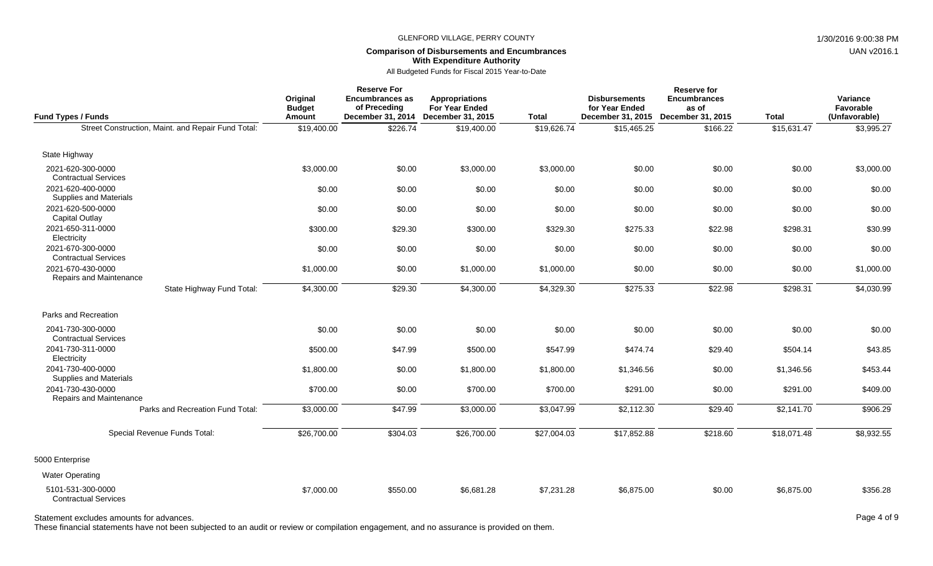### **Comparison of Disbursements and Encumbrances With Expenditure Authority**

All Budgeted Funds for Fiscal 2015 Year-to-Date

| <b>Fund Types / Funds</b>                          | Original<br><b>Budget</b><br>Amount | <b>Reserve For</b><br><b>Encumbrances as</b><br>of Preceding<br>December 31, 2014 | <b>Appropriations</b><br><b>For Year Ended</b><br>December 31, 2015 | Total       | <b>Disbursements</b><br>for Year Ended<br>December 31, 2015 | <b>Reserve for</b><br><b>Encumbrances</b><br>as of<br>December 31, 2015 | <b>Total</b> | Variance<br>Favorable<br>(Unfavorable) |
|----------------------------------------------------|-------------------------------------|-----------------------------------------------------------------------------------|---------------------------------------------------------------------|-------------|-------------------------------------------------------------|-------------------------------------------------------------------------|--------------|----------------------------------------|
| Street Construction, Maint. and Repair Fund Total: | \$19,400.00                         | \$226.74                                                                          | \$19,400.00                                                         | \$19,626.74 | \$15,465.25                                                 | \$166.22                                                                | \$15,631.47  | \$3,995.27                             |
| State Highway                                      |                                     |                                                                                   |                                                                     |             |                                                             |                                                                         |              |                                        |
| 2021-620-300-0000<br><b>Contractual Services</b>   | \$3,000.00                          | \$0.00                                                                            | \$3,000.00                                                          | \$3,000.00  | \$0.00                                                      | \$0.00                                                                  | \$0.00       | \$3,000.00                             |
| 2021-620-400-0000<br>Supplies and Materials        | \$0.00                              | \$0.00                                                                            | \$0.00                                                              | \$0.00      | \$0.00                                                      | \$0.00                                                                  | \$0.00       | \$0.00                                 |
| 2021-620-500-0000<br><b>Capital Outlay</b>         | \$0.00                              | \$0.00                                                                            | \$0.00                                                              | \$0.00      | \$0.00                                                      | \$0.00                                                                  | \$0.00       | \$0.00                                 |
| 2021-650-311-0000<br>Electricity                   | \$300.00                            | \$29.30                                                                           | \$300.00                                                            | \$329.30    | \$275.33                                                    | \$22.98                                                                 | \$298.31     | \$30.99                                |
| 2021-670-300-0000<br><b>Contractual Services</b>   | \$0.00                              | \$0.00                                                                            | \$0.00                                                              | \$0.00      | \$0.00                                                      | \$0.00                                                                  | \$0.00       | \$0.00                                 |
| 2021-670-430-0000<br>Repairs and Maintenance       | \$1,000.00                          | \$0.00                                                                            | \$1,000.00                                                          | \$1,000.00  | \$0.00                                                      | \$0.00                                                                  | \$0.00       | \$1,000.00                             |
| State Highway Fund Total:                          | \$4,300.00                          | \$29.30                                                                           | \$4,300.00                                                          | \$4,329.30  | \$275.33                                                    | \$22.98                                                                 | \$298.31     | \$4,030.99                             |
| Parks and Recreation                               |                                     |                                                                                   |                                                                     |             |                                                             |                                                                         |              |                                        |
| 2041-730-300-0000<br><b>Contractual Services</b>   | \$0.00                              | \$0.00                                                                            | \$0.00                                                              | \$0.00      | \$0.00                                                      | \$0.00                                                                  | \$0.00       | \$0.00                                 |
| 2041-730-311-0000<br>Electricity                   | \$500.00                            | \$47.99                                                                           | \$500.00                                                            | \$547.99    | \$474.74                                                    | \$29.40                                                                 | \$504.14     | \$43.85                                |
| 2041-730-400-0000<br>Supplies and Materials        | \$1,800.00                          | \$0.00                                                                            | \$1,800.00                                                          | \$1,800.00  | \$1,346.56                                                  | \$0.00                                                                  | \$1,346.56   | \$453.44                               |
| 2041-730-430-0000<br>Repairs and Maintenance       | \$700.00                            | \$0.00                                                                            | \$700.00                                                            | \$700.00    | \$291.00                                                    | \$0.00                                                                  | \$291.00     | \$409.00                               |
| Parks and Recreation Fund Total:                   | \$3,000.00                          | \$47.99                                                                           | \$3,000.00                                                          | \$3,047.99  | \$2,112.30                                                  | \$29.40                                                                 | \$2,141.70   | \$906.29                               |
| Special Revenue Funds Total:                       | \$26,700.00                         | \$304.03                                                                          | \$26,700.00                                                         | \$27,004.03 | \$17,852.88                                                 | \$218.60                                                                | \$18,071.48  | \$8,932.55                             |
| 5000 Enterprise                                    |                                     |                                                                                   |                                                                     |             |                                                             |                                                                         |              |                                        |
| <b>Water Operating</b>                             |                                     |                                                                                   |                                                                     |             |                                                             |                                                                         |              |                                        |
| 5101-531-300-0000<br><b>Contractual Services</b>   | \$7,000.00                          | \$550.00                                                                          | \$6,681.28                                                          | \$7,231.28  | \$6,875.00                                                  | \$0.00                                                                  | \$6,875.00   | \$356.28                               |

## Statement excludes amounts for advances. The state of 9 and the state of 9 and the state of 9 and the state of 9 and the state of 9 and the state of 9 and the state of 9 and the state of 9 and the state of 9 and the state

These financial statements have not been subjected to an audit or review or compilation engagement, and no assurance is provided on them.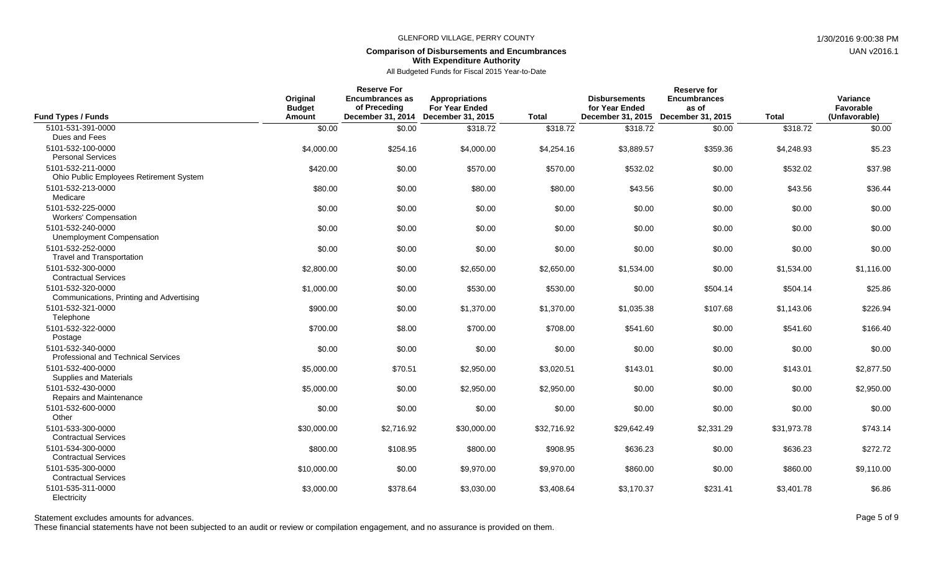## **Comparison of Disbursements and Encumbrances With Expenditure Authority**

## All Budgeted Funds for Fiscal 2015 Year-to-Date

| <b>Fund Types / Funds</b>                                       | Original<br><b>Budget</b><br>Amount | <b>Reserve For</b><br>Encumbrances as<br>of Preceding<br>December 31, 2014 | <b>Appropriations</b><br><b>For Year Ended</b><br>December 31, 2015 | <b>Total</b> | <b>Disbursements</b><br>for Year Ended<br>December 31, 2015 | <b>Reserve for</b><br><b>Encumbrances</b><br>as of<br>December 31, 2015 | <b>Total</b> | Variance<br>Favorable<br>(Unfavorable) |
|-----------------------------------------------------------------|-------------------------------------|----------------------------------------------------------------------------|---------------------------------------------------------------------|--------------|-------------------------------------------------------------|-------------------------------------------------------------------------|--------------|----------------------------------------|
| 5101-531-391-0000<br>Dues and Fees                              | \$0.00                              | \$0.00                                                                     | \$318.72                                                            | \$318.72     | \$318.72                                                    | \$0.00                                                                  | \$318.72     | \$0.00                                 |
| 5101-532-100-0000<br><b>Personal Services</b>                   | \$4,000.00                          | \$254.16                                                                   | \$4,000.00                                                          | \$4,254.16   | \$3,889.57                                                  | \$359.36                                                                | \$4.248.93   | \$5.23                                 |
| 5101-532-211-0000<br>Ohio Public Employees Retirement System    | \$420.00                            | \$0.00                                                                     | \$570.00                                                            | \$570.00     | \$532.02                                                    | \$0.00                                                                  | \$532.02     | \$37.98                                |
| 5101-532-213-0000<br>Medicare                                   | \$80.00                             | \$0.00                                                                     | \$80.00                                                             | \$80.00      | \$43.56                                                     | \$0.00                                                                  | \$43.56      | \$36.44                                |
| 5101-532-225-0000<br><b>Workers' Compensation</b>               | \$0.00                              | \$0.00                                                                     | \$0.00                                                              | \$0.00       | \$0.00                                                      | \$0.00                                                                  | \$0.00       | \$0.00                                 |
| 5101-532-240-0000<br>Unemployment Compensation                  | \$0.00                              | \$0.00                                                                     | \$0.00                                                              | \$0.00       | \$0.00                                                      | \$0.00                                                                  | \$0.00       | \$0.00                                 |
| 5101-532-252-0000<br><b>Travel and Transportation</b>           | \$0.00                              | \$0.00                                                                     | \$0.00                                                              | \$0.00       | \$0.00                                                      | \$0.00                                                                  | \$0.00       | \$0.00                                 |
| 5101-532-300-0000<br><b>Contractual Services</b>                | \$2,800.00                          | \$0.00                                                                     | \$2,650.00                                                          | \$2,650.00   | \$1,534.00                                                  | \$0.00                                                                  | \$1,534.00   | \$1,116.00                             |
| 5101-532-320-0000<br>Communications, Printing and Advertising   | \$1,000.00                          | \$0.00                                                                     | \$530.00                                                            | \$530.00     | \$0.00                                                      | \$504.14                                                                | \$504.14     | \$25.86                                |
| 5101-532-321-0000<br>Telephone                                  | \$900.00                            | \$0.00                                                                     | \$1,370.00                                                          | \$1,370.00   | \$1,035.38                                                  | \$107.68                                                                | \$1,143.06   | \$226.94                               |
| 5101-532-322-0000<br>Postage                                    | \$700.00                            | \$8.00                                                                     | \$700.00                                                            | \$708.00     | \$541.60                                                    | \$0.00                                                                  | \$541.60     | \$166.40                               |
| 5101-532-340-0000<br><b>Professional and Technical Services</b> | \$0.00                              | \$0.00                                                                     | \$0.00                                                              | \$0.00       | \$0.00                                                      | \$0.00                                                                  | \$0.00       | \$0.00                                 |
| 5101-532-400-0000<br><b>Supplies and Materials</b>              | \$5,000.00                          | \$70.51                                                                    | \$2,950.00                                                          | \$3,020.51   | \$143.01                                                    | \$0.00                                                                  | \$143.01     | \$2,877.50                             |
| 5101-532-430-0000<br>Repairs and Maintenance                    | \$5,000.00                          | \$0.00                                                                     | \$2,950.00                                                          | \$2,950.00   | \$0.00                                                      | \$0.00                                                                  | \$0.00       | \$2,950.00                             |
| 5101-532-600-0000<br>Other                                      | \$0.00                              | \$0.00                                                                     | \$0.00                                                              | \$0.00       | \$0.00                                                      | \$0.00                                                                  | \$0.00       | \$0.00                                 |
| 5101-533-300-0000<br><b>Contractual Services</b>                | \$30,000.00                         | \$2,716.92                                                                 | \$30,000.00                                                         | \$32,716.92  | \$29.642.49                                                 | \$2,331.29                                                              | \$31.973.78  | \$743.14                               |
| 5101-534-300-0000<br><b>Contractual Services</b>                | \$800.00                            | \$108.95                                                                   | \$800.00                                                            | \$908.95     | \$636.23                                                    | \$0.00                                                                  | \$636.23     | \$272.72                               |
| 5101-535-300-0000<br><b>Contractual Services</b>                | \$10,000.00                         | \$0.00                                                                     | \$9,970.00                                                          | \$9,970.00   | \$860.00                                                    | \$0.00                                                                  | \$860.00     | \$9,110.00                             |
| 5101-535-311-0000<br>Electricity                                | \$3,000.00                          | \$378.64                                                                   | \$3,030.00                                                          | \$3,408.64   | \$3,170.37                                                  | \$231.41                                                                | \$3,401.78   | \$6.86                                 |

Statement excludes amounts for advances. The state of 9 and 20 and 20 and 20 and 20 and 20 and 20 and 20 and 20 and 20 and 20 and 20 and 20 and 20 and 20 and 20 and 20 and 20 and 20 and 20 and 20 and 20 and 20 and 20 and 2

These financial statements have not been subjected to an audit or review or compilation engagement, and no assurance is provided on them.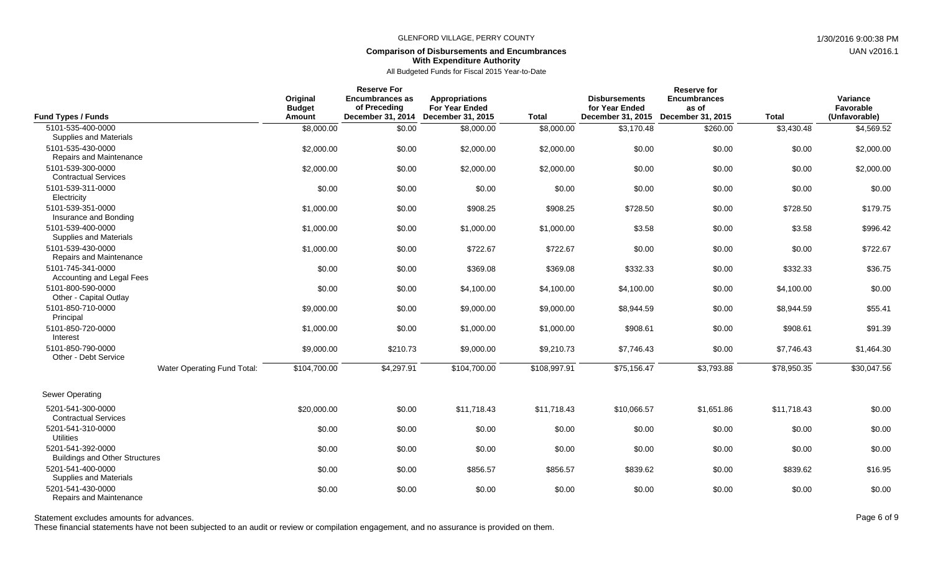## **Comparison of Disbursements and Encumbrances With Expenditure Authority**

All Budgeted Funds for Fiscal 2015 Year-to-Date

| <b>Fund Types / Funds</b>                                              |                             | Original<br><b>Budget</b><br>Amount | <b>Reserve For</b><br><b>Encumbrances as</b><br>of Preceding<br>December 31, 2014 | <b>Appropriations</b><br><b>For Year Ended</b><br>December 31, 2015 | <b>Total</b> | <b>Disbursements</b><br>for Year Ended<br>December 31, 2015 | <b>Reserve for</b><br><b>Encumbrances</b><br>as of<br>December 31, 2015 | <b>Total</b> | Variance<br>Favorable<br>(Unfavorable) |
|------------------------------------------------------------------------|-----------------------------|-------------------------------------|-----------------------------------------------------------------------------------|---------------------------------------------------------------------|--------------|-------------------------------------------------------------|-------------------------------------------------------------------------|--------------|----------------------------------------|
| 5101-535-400-0000                                                      |                             | \$8,000.00                          | \$0.00                                                                            | \$8,000.00                                                          | \$8,000.00   | \$3,170.48                                                  | \$260.00                                                                | \$3,430.48   | \$4,569.52                             |
| Supplies and Materials<br>5101-535-430-0000<br>Repairs and Maintenance |                             | \$2,000.00                          | \$0.00                                                                            | \$2,000.00                                                          | \$2,000.00   | \$0.00                                                      | \$0.00                                                                  | \$0.00       | \$2,000.00                             |
| 5101-539-300-0000<br><b>Contractual Services</b>                       |                             | \$2,000.00                          | \$0.00                                                                            | \$2,000.00                                                          | \$2,000.00   | \$0.00                                                      | \$0.00                                                                  | \$0.00       | \$2,000.00                             |
| 5101-539-311-0000<br>Electricity                                       |                             | \$0.00                              | \$0.00                                                                            | \$0.00                                                              | \$0.00       | \$0.00                                                      | \$0.00                                                                  | \$0.00       | \$0.00                                 |
| 5101-539-351-0000<br>Insurance and Bonding                             |                             | \$1,000.00                          | \$0.00                                                                            | \$908.25                                                            | \$908.25     | \$728.50                                                    | \$0.00                                                                  | \$728.50     | \$179.75                               |
| 5101-539-400-0000<br><b>Supplies and Materials</b>                     |                             | \$1,000.00                          | \$0.00                                                                            | \$1,000.00                                                          | \$1,000.00   | \$3.58                                                      | \$0.00                                                                  | \$3.58       | \$996.42                               |
| 5101-539-430-0000<br>Repairs and Maintenance                           |                             | \$1,000.00                          | \$0.00                                                                            | \$722.67                                                            | \$722.67     | \$0.00                                                      | \$0.00                                                                  | \$0.00       | \$722.67                               |
| 5101-745-341-0000<br>Accounting and Legal Fees                         |                             | \$0.00                              | \$0.00                                                                            | \$369.08                                                            | \$369.08     | \$332.33                                                    | \$0.00                                                                  | \$332.33     | \$36.75                                |
| 5101-800-590-0000<br>Other - Capital Outlay                            |                             | \$0.00                              | \$0.00                                                                            | \$4,100.00                                                          | \$4,100.00   | \$4,100.00                                                  | \$0.00                                                                  | \$4,100.00   | \$0.00                                 |
| 5101-850-710-0000<br>Principal                                         |                             | \$9,000.00                          | \$0.00                                                                            | \$9,000.00                                                          | \$9,000.00   | \$8,944.59                                                  | \$0.00                                                                  | \$8,944.59   | \$55.41                                |
| 5101-850-720-0000<br>Interest                                          |                             | \$1,000.00                          | \$0.00                                                                            | \$1,000.00                                                          | \$1,000.00   | \$908.61                                                    | \$0.00                                                                  | \$908.61     | \$91.39                                |
| 5101-850-790-0000<br>Other - Debt Service                              |                             | \$9,000.00                          | \$210.73                                                                          | \$9,000.00                                                          | \$9,210.73   | \$7,746.43                                                  | \$0.00                                                                  | \$7,746.43   | \$1,464.30                             |
|                                                                        | Water Operating Fund Total: | \$104,700.00                        | \$4,297.91                                                                        | \$104,700.00                                                        | \$108,997.91 | \$75,156.47                                                 | \$3,793.88                                                              | \$78,950.35  | \$30,047.56                            |
| <b>Sewer Operating</b>                                                 |                             |                                     |                                                                                   |                                                                     |              |                                                             |                                                                         |              |                                        |
| 5201-541-300-0000<br><b>Contractual Services</b>                       |                             | \$20,000.00                         | \$0.00                                                                            | \$11,718.43                                                         | \$11,718.43  | \$10,066.57                                                 | \$1,651.86                                                              | \$11,718.43  | \$0.00                                 |
| 5201-541-310-0000<br><b>Utilities</b>                                  |                             | \$0.00                              | \$0.00                                                                            | \$0.00                                                              | \$0.00       | \$0.00                                                      | \$0.00                                                                  | \$0.00       | \$0.00                                 |
| 5201-541-392-0000<br><b>Buildings and Other Structures</b>             |                             | \$0.00                              | \$0.00                                                                            | \$0.00                                                              | \$0.00       | \$0.00                                                      | \$0.00                                                                  | \$0.00       | \$0.00                                 |
| 5201-541-400-0000<br><b>Supplies and Materials</b>                     |                             | \$0.00                              | \$0.00                                                                            | \$856.57                                                            | \$856.57     | \$839.62                                                    | \$0.00                                                                  | \$839.62     | \$16.95                                |
| 5201-541-430-0000<br>Repairs and Maintenance                           |                             | \$0.00                              | \$0.00                                                                            | \$0.00                                                              | \$0.00       | \$0.00                                                      | \$0.00                                                                  | \$0.00       | \$0.00                                 |

Statement excludes amounts for advances. The excludes amounts for advances. Page 6 of 9

These financial statements have not been subjected to an audit or review or compilation engagement, and no assurance is provided on them.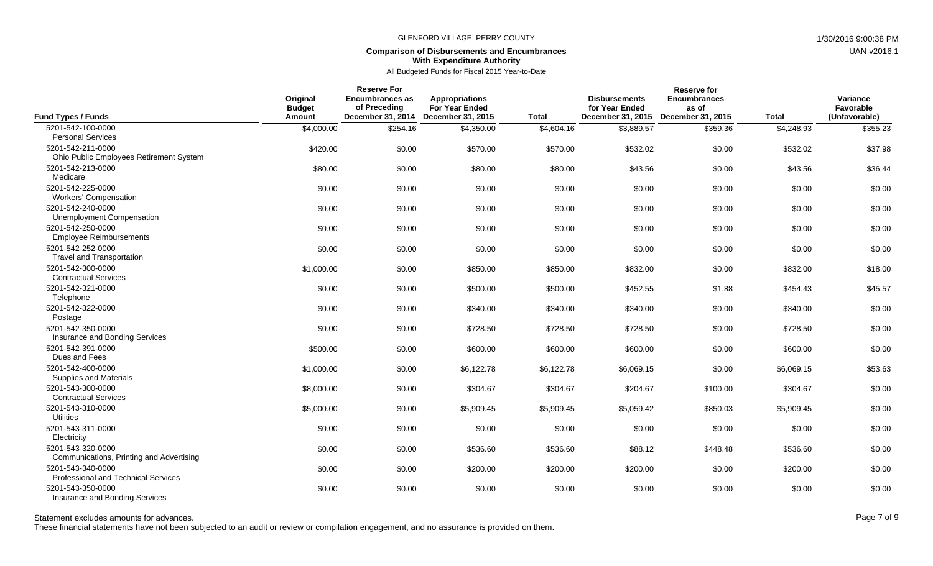## **Comparison of Disbursements and Encumbrances With Expenditure Authority**

All Budgeted Funds for Fiscal 2015 Year-to-Date

|                                                                 |                                     | <b>Reserve For</b><br><b>Encumbrances as</b> |                                                                                |              | <b>Reserve for</b>                                          |                                                   |              | Variance                   |
|-----------------------------------------------------------------|-------------------------------------|----------------------------------------------|--------------------------------------------------------------------------------|--------------|-------------------------------------------------------------|---------------------------------------------------|--------------|----------------------------|
| <b>Fund Types / Funds</b>                                       | Original<br><b>Budget</b><br>Amount | of Preceding                                 | Appropriations<br><b>For Year Ended</b><br>December 31, 2014 December 31, 2015 | <b>Total</b> | <b>Disbursements</b><br>for Year Ended<br>December 31, 2015 | <b>Encumbrances</b><br>as of<br>December 31, 2015 | <b>Total</b> | Favorable<br>(Unfavorable) |
| 5201-542-100-0000                                               | \$4,000.00                          | \$254.16                                     | \$4,350.00                                                                     | \$4,604.16   | \$3,889.57                                                  | \$359.36                                          | \$4,248.93   | \$355.23                   |
| <b>Personal Services</b>                                        |                                     |                                              |                                                                                |              |                                                             |                                                   |              |                            |
| 5201-542-211-0000<br>Ohio Public Employees Retirement System    | \$420.00                            | \$0.00                                       | \$570.00                                                                       | \$570.00     | \$532.02                                                    | \$0.00                                            | \$532.02     | \$37.98                    |
| 5201-542-213-0000<br>Medicare                                   | \$80.00                             | \$0.00                                       | \$80.00                                                                        | \$80.00      | \$43.56                                                     | \$0.00                                            | \$43.56      | \$36.44                    |
| 5201-542-225-0000<br><b>Workers' Compensation</b>               | \$0.00                              | \$0.00                                       | \$0.00                                                                         | \$0.00       | \$0.00                                                      | \$0.00                                            | \$0.00       | \$0.00                     |
| 5201-542-240-0000<br><b>Unemployment Compensation</b>           | \$0.00                              | \$0.00                                       | \$0.00                                                                         | \$0.00       | \$0.00                                                      | \$0.00                                            | \$0.00       | \$0.00                     |
| 5201-542-250-0000<br><b>Employee Reimbursements</b>             | \$0.00                              | \$0.00                                       | \$0.00                                                                         | \$0.00       | \$0.00                                                      | \$0.00                                            | \$0.00       | \$0.00                     |
| 5201-542-252-0000<br><b>Travel and Transportation</b>           | \$0.00                              | \$0.00                                       | \$0.00                                                                         | \$0.00       | \$0.00                                                      | \$0.00                                            | \$0.00       | \$0.00                     |
| 5201-542-300-0000<br><b>Contractual Services</b>                | \$1,000.00                          | \$0.00                                       | \$850.00                                                                       | \$850.00     | \$832.00                                                    | \$0.00                                            | \$832.00     | \$18.00                    |
| 5201-542-321-0000<br>Telephone                                  | \$0.00                              | \$0.00                                       | \$500.00                                                                       | \$500.00     | \$452.55                                                    | \$1.88                                            | \$454.43     | \$45.57                    |
| 5201-542-322-0000<br>Postage                                    | \$0.00                              | \$0.00                                       | \$340.00                                                                       | \$340.00     | \$340.00                                                    | \$0.00                                            | \$340.00     | \$0.00                     |
| 5201-542-350-0000<br>Insurance and Bonding Services             | \$0.00                              | \$0.00                                       | \$728.50                                                                       | \$728.50     | \$728.50                                                    | \$0.00                                            | \$728.50     | \$0.00                     |
| 5201-542-391-0000<br>Dues and Fees                              | \$500.00                            | \$0.00                                       | \$600.00                                                                       | \$600.00     | \$600.00                                                    | \$0.00                                            | \$600.00     | \$0.00                     |
| 5201-542-400-0000<br>Supplies and Materials                     | \$1,000.00                          | \$0.00                                       | \$6,122.78                                                                     | \$6,122.78   | \$6,069.15                                                  | \$0.00                                            | \$6,069.15   | \$53.63                    |
| 5201-543-300-0000<br><b>Contractual Services</b>                | \$8,000.00                          | \$0.00                                       | \$304.67                                                                       | \$304.67     | \$204.67                                                    | \$100.00                                          | \$304.67     | \$0.00                     |
| 5201-543-310-0000<br><b>Utilities</b>                           | \$5,000.00                          | \$0.00                                       | \$5,909.45                                                                     | \$5,909.45   | \$5,059.42                                                  | \$850.03                                          | \$5,909.45   | \$0.00                     |
| 5201-543-311-0000<br>Electricity                                | \$0.00                              | \$0.00                                       | \$0.00                                                                         | \$0.00       | \$0.00                                                      | \$0.00                                            | \$0.00       | \$0.00                     |
| 5201-543-320-0000<br>Communications, Printing and Advertising   | \$0.00                              | \$0.00                                       | \$536.60                                                                       | \$536.60     | \$88.12                                                     | \$448.48                                          | \$536.60     | \$0.00                     |
| 5201-543-340-0000<br><b>Professional and Technical Services</b> | \$0.00                              | \$0.00                                       | \$200.00                                                                       | \$200.00     | \$200.00                                                    | \$0.00                                            | \$200.00     | \$0.00                     |
| 5201-543-350-0000<br>Insurance and Bonding Services             | \$0.00                              | \$0.00                                       | \$0.00                                                                         | \$0.00       | \$0.00                                                      | \$0.00                                            | \$0.00       | \$0.00                     |

These financial statements have not been subjected to an audit or review or compilation engagement, and no assurance is provided on them.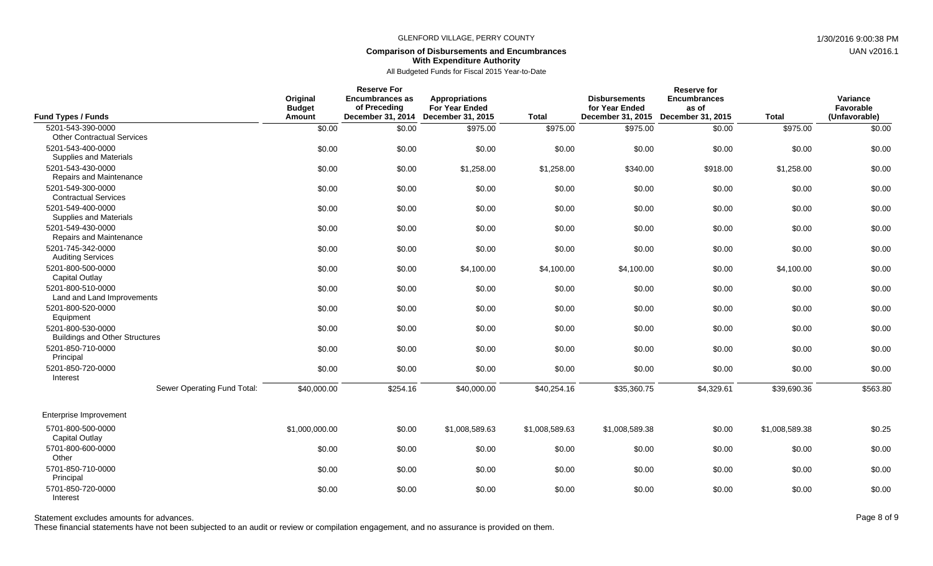### **Comparison of Disbursements and Encumbrances With Expenditure Authority**

All Budgeted Funds for Fiscal 2015 Year-to-Date

| <b>Fund Types / Funds</b>                                                        | Original<br><b>Budget</b><br><b>Amount</b> | <b>Reserve For</b><br><b>Encumbrances as</b><br>of Preceding<br><b>December 31, 2014</b> | <b>Appropriations</b><br><b>For Year Ended</b><br>December 31, 2015 | <b>Total</b>   | <b>Disbursements</b><br>for Year Ended<br>December 31, 2015 | <b>Reserve for</b><br><b>Encumbrances</b><br>as of<br>December 31, 2015 | <b>Total</b>   | Variance<br>Favorable<br>(Unfavorable) |
|----------------------------------------------------------------------------------|--------------------------------------------|------------------------------------------------------------------------------------------|---------------------------------------------------------------------|----------------|-------------------------------------------------------------|-------------------------------------------------------------------------|----------------|----------------------------------------|
| 5201-543-390-0000                                                                | \$0.00                                     | \$0.00                                                                                   | \$975.00                                                            | \$975.00       | \$975.00                                                    | \$0.00                                                                  | \$975.00       | \$0.00                                 |
| <b>Other Contractual Services</b><br>5201-543-400-0000<br>Supplies and Materials | \$0.00                                     | \$0.00                                                                                   | \$0.00                                                              | \$0.00         | \$0.00                                                      | \$0.00                                                                  | \$0.00         | \$0.00                                 |
| 5201-543-430-0000<br>Repairs and Maintenance                                     | \$0.00                                     | \$0.00                                                                                   | \$1,258.00                                                          | \$1,258.00     | \$340.00                                                    | \$918.00                                                                | \$1,258.00     | \$0.00                                 |
| 5201-549-300-0000<br><b>Contractual Services</b>                                 | \$0.00                                     | \$0.00                                                                                   | \$0.00                                                              | \$0.00         | \$0.00                                                      | \$0.00                                                                  | \$0.00         | \$0.00                                 |
| 5201-549-400-0000<br>Supplies and Materials                                      | \$0.00                                     | \$0.00                                                                                   | \$0.00                                                              | \$0.00         | \$0.00                                                      | \$0.00                                                                  | \$0.00         | \$0.00                                 |
| 5201-549-430-0000<br>Repairs and Maintenance                                     | \$0.00                                     | \$0.00                                                                                   | \$0.00                                                              | \$0.00         | \$0.00                                                      | \$0.00                                                                  | \$0.00         | \$0.00                                 |
| 5201-745-342-0000<br><b>Auditing Services</b>                                    | \$0.00                                     | \$0.00                                                                                   | \$0.00                                                              | \$0.00         | \$0.00                                                      | \$0.00                                                                  | \$0.00         | \$0.00                                 |
| 5201-800-500-0000<br><b>Capital Outlay</b>                                       | \$0.00                                     | \$0.00                                                                                   | \$4,100.00                                                          | \$4,100.00     | \$4,100.00                                                  | \$0.00                                                                  | \$4,100.00     | \$0.00                                 |
| 5201-800-510-0000<br>Land and Land Improvements                                  | \$0.00                                     | \$0.00                                                                                   | \$0.00                                                              | \$0.00         | \$0.00                                                      | \$0.00                                                                  | \$0.00         | \$0.00                                 |
| 5201-800-520-0000<br>Equipment                                                   | \$0.00                                     | \$0.00                                                                                   | \$0.00                                                              | \$0.00         | \$0.00                                                      | \$0.00                                                                  | \$0.00         | \$0.00                                 |
| 5201-800-530-0000<br><b>Buildings and Other Structures</b>                       | \$0.00                                     | \$0.00                                                                                   | \$0.00                                                              | \$0.00         | \$0.00                                                      | \$0.00                                                                  | \$0.00         | \$0.00                                 |
| 5201-850-710-0000<br>Principal                                                   | \$0.00                                     | \$0.00                                                                                   | \$0.00                                                              | \$0.00         | \$0.00                                                      | \$0.00                                                                  | \$0.00         | \$0.00                                 |
| 5201-850-720-0000<br>Interest                                                    | \$0.00                                     | \$0.00                                                                                   | \$0.00                                                              | \$0.00         | \$0.00                                                      | \$0.00                                                                  | \$0.00         | \$0.00                                 |
| Sewer Operating Fund Total:                                                      | \$40,000.00                                | \$254.16                                                                                 | \$40,000.00                                                         | \$40,254.16    | \$35,360.75                                                 | \$4,329.61                                                              | \$39,690.36    | \$563.80                               |
| Enterprise Improvement                                                           |                                            |                                                                                          |                                                                     |                |                                                             |                                                                         |                |                                        |
| 5701-800-500-0000<br><b>Capital Outlay</b>                                       | \$1,000,000.00                             | \$0.00                                                                                   | \$1,008,589.63                                                      | \$1,008,589.63 | \$1,008,589.38                                              | \$0.00                                                                  | \$1,008,589.38 | \$0.25                                 |
| 5701-800-600-0000<br>Other                                                       | \$0.00                                     | \$0.00                                                                                   | \$0.00                                                              | \$0.00         | \$0.00                                                      | \$0.00                                                                  | \$0.00         | \$0.00                                 |
| 5701-850-710-0000<br>Principal                                                   | \$0.00                                     | \$0.00                                                                                   | \$0.00                                                              | \$0.00         | \$0.00                                                      | \$0.00                                                                  | \$0.00         | \$0.00                                 |
| 5701-850-720-0000<br>Interest                                                    | \$0.00                                     | \$0.00                                                                                   | \$0.00                                                              | \$0.00         | \$0.00                                                      | \$0.00                                                                  | \$0.00         | \$0.00                                 |

Statement excludes amounts for advances. The state of 9 and 20 and 20 and 20 and 20 and 20 and 20 and 20 and 20 and 20 and 20 and 20 and 20 and 20 and 20 and 20 and 20 and 20 and 20 and 20 and 20 and 20 and 20 and 20 and 2

These financial statements have not been subjected to an audit or review or compilation engagement, and no assurance is provided on them.